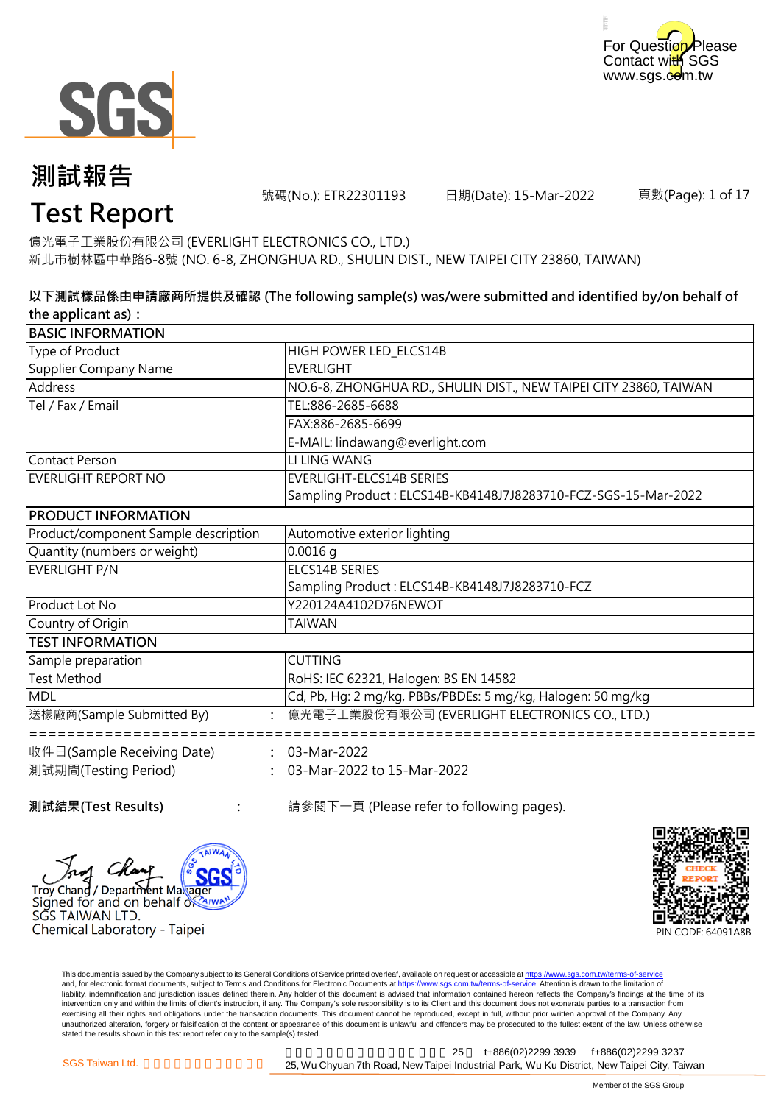



號碼(No.): ETR22301193 日期(Date): 15-Mar-2022

頁數(Page): 1 of 17

# **Test Report**

新北市樹林區中華路6-8號 (NO. 6-8, ZHONGHUA RD., SHULIN DIST., NEW TAIPEI CITY 23860, TAIWAN) 億光電子工業股份有限公司 (EVERLIGHT ELECTRONICS CO., LTD.)

#### **以下測試樣品係由申請廠商所提供及確認 (The following sample(s) was/were submitted and identified by/on behalf of the applicant as):**

| <b>BASIC INFORMATION</b>             |                                                                   |
|--------------------------------------|-------------------------------------------------------------------|
| Type of Product                      | HIGH POWER LED ELCS14B                                            |
| <b>Supplier Company Name</b>         | <b>EVERLIGHT</b>                                                  |
| Address                              | NO.6-8, ZHONGHUA RD., SHULIN DIST., NEW TAIPEI CITY 23860, TAIWAN |
| Tel / Fax / Email                    | TEL:886-2685-6688                                                 |
|                                      | FAX:886-2685-6699                                                 |
|                                      | E-MAIL: lindawang@everlight.com                                   |
| <b>Contact Person</b>                | LI LING WANG                                                      |
| <b>EVERLIGHT REPORT NO</b>           | <b>EVERLIGHT-ELCS14B SERIES</b>                                   |
|                                      | Sampling Product: ELCS14B-KB4148J7J8283710-FCZ-SGS-15-Mar-2022    |
| <b>PRODUCT INFORMATION</b>           |                                                                   |
| Product/component Sample description | Automotive exterior lighting                                      |
| Quantity (numbers or weight)         | $0.0016$ q                                                        |
| <b>EVERLIGHT P/N</b>                 | <b>ELCS14B SERIES</b>                                             |
|                                      | Sampling Product: ELCS14B-KB4148J7J8283710-FCZ                    |
| Product Lot No                       | Y220124A4102D76NEWOT                                              |
| Country of Origin                    | TAIWAN                                                            |
| <b>TEST INFORMATION</b>              |                                                                   |
| Sample preparation                   | <b>CUTTING</b>                                                    |
| <b>Test Method</b>                   | RoHS: IEC 62321, Halogen: BS EN 14582                             |
| <b>MDL</b>                           | Cd, Pb, Hg: 2 mg/kg, PBBs/PBDEs: 5 mg/kg, Halogen: 50 mg/kg       |
| 送樣廠商(Sample Submitted By)            | 億光電子工業股份有限公司 (EVERLIGHT ELECTRONICS CO., LTD.)                    |
| 收件日(Sample Receiving Date)           | $: 03-Mar-2022$                                                   |
| 測試期間(Testing Period)                 | : 03-Mar-2022 to 15-Mar-2022                                      |
|                                      |                                                                   |

SĞS TAIWAN LTD.

**Troy Chang / Department Makager** Signed for and on behalf of

Chemical Laboratory - Taipei

**:**

**測試結果(Test Results)** : <br>
a 請參閱下一頁 (Please refer to following pages).



This document is issued by the Company subject to its General Conditions of Service printed overleaf, available on request or accessible at https://www.sgs.com.tw/terms-of-service and, for electronic format documents, subject to Terms and Conditions for Electronic Documents at https://www.sgs.com.tw/terms-of-service. Attention is drawn to the limitation of liability, indemnification and jurisdiction issues defined therein. Any holder of this document is advised that information contained hereon reflects the Company's findings at the time of its intervention only and within the limits of client's instruction, if any. The Company's sole responsibility is to its Client and this document does not exonerate parties to a transaction from exercising all their rights and obligations under the transaction documents. This document cannot be reproduced, except in full, without prior written approval of the Company. Any<br>unauthorized alteration, forgery or falsif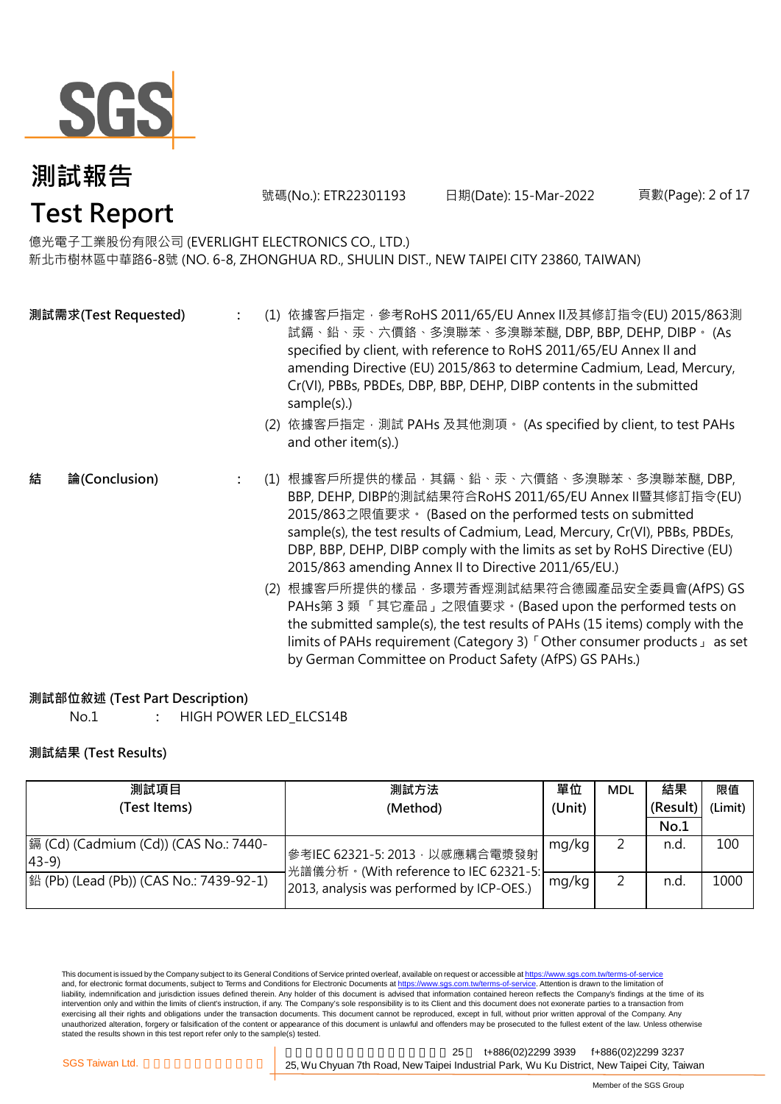

號碼(No.): ETR22301193 日期(Date): 15-Mar-2022

頁數(Page): 2 of 17

# 億光電子工業股份有限公司 (EVERLIGHT ELECTRONICS CO., LTD.)

新北市樹林區中華路6-8號 (NO. 6-8, ZHONGHUA RD., SHULIN DIST., NEW TAIPEI CITY 23860, TAIWAN)

| 測試需求(Test Requested) |               |  | (1) 依據客戶指定, 參考RoHS 2011/65/EU Annex II及其修訂指令(EU) 2015/863測<br>試鎘、鉛、汞、六價鉻、多溴聯苯、多溴聯苯醚, DBP, BBP, DEHP, DIBP。 (As<br>specified by client, with reference to RoHS 2011/65/EU Annex II and<br>amending Directive (EU) 2015/863 to determine Cadmium, Lead, Mercury,<br>Cr(VI), PBBs, PBDEs, DBP, BBP, DEHP, DIBP contents in the submitted<br>sample(s).)                                      |
|----------------------|---------------|--|-------------------------------------------------------------------------------------------------------------------------------------------------------------------------------------------------------------------------------------------------------------------------------------------------------------------------------------------------------------------------------------------|
|                      |               |  | (2) 依據客戶指定, 測試 PAHs 及其他測項。 (As specified by client, to test PAHs<br>and other item(s).)                                                                                                                                                                                                                                                                                                   |
| 結                    | 論(Conclusion) |  | (1) 根據客戶所提供的樣品, 其鎘、鉛、汞、六價鉻、多溴聯苯、多溴聯苯醚, DBP,<br>BBP, DEHP, DIBP的測試結果符合RoHS 2011/65/EU Annex II暨其修訂指令(EU)<br>2015/863之限值要求 · (Based on the performed tests on submitted<br>sample(s), the test results of Cadmium, Lead, Mercury, Cr(VI), PBBs, PBDEs,<br>DBP, BBP, DEHP, DIBP comply with the limits as set by RoHS Directive (EU)<br>2015/863 amending Annex II to Directive 2011/65/EU.) |
|                      |               |  | (2) 根據客戶所提供的樣品 · 多環芳香烴測試結果符合德國產品安全委員會(AfPS) GS<br>PAHs第3類「其它產品」之限值要求。(Based upon the performed tests on<br>the submitted sample(s), the test results of PAHs (15 items) comply with the<br>limits of PAHs requirement (Category 3) <sup>F</sup> Other consumer products J as set                                                                                                          |

#### **測試部位敘述 (Test Part Description)**

No.1 **:** HIGH POWER LED\_ELCS14B

#### **測試結果 (Test Results)**

| 測試項目                                                    | 測試方法                                                                    | 單位    | <b>MDL</b> | 結果       | 限值      |
|---------------------------------------------------------|-------------------------------------------------------------------------|-------|------------|----------|---------|
| (Test Items)                                            | (Unit)<br>(Method)                                                      |       |            | (Result) | (Limit) |
|                                                         |                                                                         |       |            | No.1     |         |
| 鎘 (Cd) (Cadmium (Cd)) (CAS No.: 7440-<br>$ 43-9\rangle$ | 參考IEC 62321-5: 2013, 以感應耦合電漿發射<br>光譜儀分析。(With reference to IEC 62321-5: | mg/kg |            | n.d      | 100     |
| 銟 (Pb) (Lead (Pb)) (CAS No.: 7439-92-1)                 | 2013, analysis was performed by ICP-OES.)                               | mg/kg |            | n.d      | 1000    |

This document is issued by the Company subject to its General Conditions of Service printed overleaf, available on request or accessible at <u>https://www.sgs.com.tw/terms-of-service</u><br>and, for electronic format documents, su liability, indemnification and jurisdiction issues defined therein. Any holder of this document is advised that information contained hereon reflects the Company's findings at the time of its intervention only and within the limits of client's instruction, if any. The Company's sole responsibility is to its Client and this document does not exonerate parties to a transaction from exercising all their rights and obligations under the transaction documents. This document cannot be reproduced, except in full, without prior written approval of the Company. Any<br>unauthorized alteration, forgery or falsif

新北市五股區新北產業園區五權七 25 t+886(02)2299 3939 f+886(02)2299 3237 SGS Taiwan Ltd. **1999 125, Wu Chyuan 7th Road, New Taipei Industrial Park, Wu Ku District, New Taipei City, Taiwan** 

by German Committee on Product Safety (AfPS) GS PAHs.)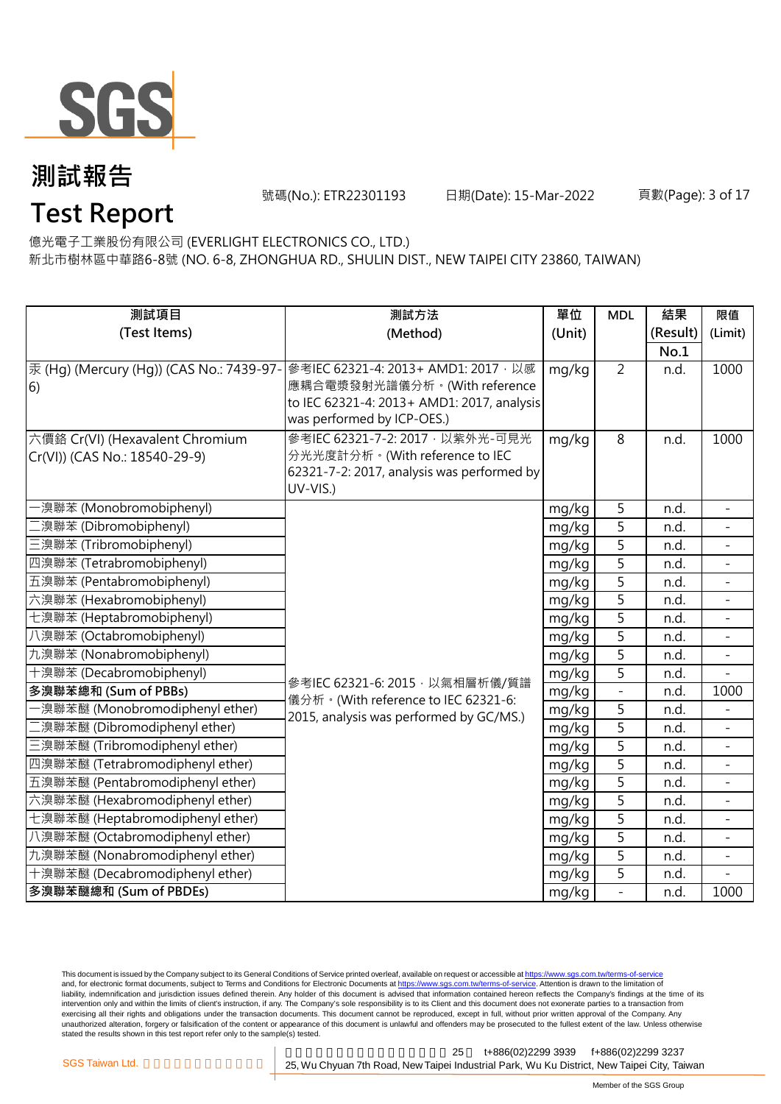

號碼(No.): ETR22301193 日期(Date): 15-Mar-2022

### **Test Report** 億光電子工業股份有限公司 (EVERLIGHT ELECTRONICS CO., LTD.)

新北市樹林區中華路6-8號 (NO. 6-8, ZHONGHUA RD., SHULIN DIST., NEW TAIPEI CITY 23860, TAIWAN)

| 測試項目                                     | 測試方法                                                                         | 單位     | <b>MDL</b>     | 結果       | 限值                       |
|------------------------------------------|------------------------------------------------------------------------------|--------|----------------|----------|--------------------------|
| (Test Items)                             | (Method)                                                                     | (Unit) |                | (Result) | (Limit)                  |
|                                          |                                                                              |        |                | No.1     |                          |
| 汞 (Hg) (Mercury (Hg)) (CAS No.: 7439-97- | 參考IEC 62321-4: 2013+ AMD1: 2017, 以感                                          | mg/kg  | $\overline{2}$ | n.d.     | 1000                     |
| 6)                                       | 應耦合電漿發射光譜儀分析。(With reference                                                 |        |                |          |                          |
|                                          | to IEC 62321-4: 2013+ AMD1: 2017, analysis                                   |        |                |          |                          |
|                                          | was performed by ICP-OES.)                                                   |        |                |          |                          |
| 六價鉻 Cr(VI) (Hexavalent Chromium          | 參考IEC 62321-7-2: 2017 · 以紫外光-可見光                                             | mg/kg  | 8              | n.d.     | 1000                     |
| Cr(VI)) (CAS No.: 18540-29-9)            | 分光光度計分析。(With reference to IEC<br>62321-7-2: 2017, analysis was performed by |        |                |          |                          |
|                                          | UV-VIS.)                                                                     |        |                |          |                          |
| ·溴聯苯 (Monobromobiphenyl)                 |                                                                              | mg/kg  | 5              | n.d.     |                          |
| 二溴聯苯 (Dibromobiphenyl)                   |                                                                              | mg/kg  | $\overline{5}$ | n.d.     |                          |
| 三溴聯苯 (Tribromobiphenyl)                  |                                                                              | mg/kg  | 5              | n.d.     | $\equiv$                 |
| 四溴聯苯 (Tetrabromobiphenyl)                |                                                                              | mg/kg  | $\overline{5}$ | n.d.     | $\overline{\phantom{a}}$ |
| 五溴聯苯 (Pentabromobiphenyl)                |                                                                              | mg/kg  | $\overline{5}$ | n.d.     |                          |
| 六溴聯苯 (Hexabromobiphenyl)                 |                                                                              | mg/kg  | $\overline{5}$ | n.d.     |                          |
| 七溴聯苯 (Heptabromobiphenyl)                |                                                                              | mg/kg  | 5              | n.d.     |                          |
| 八溴聯苯 (Octabromobiphenyl)                 |                                                                              | mg/kg  | 5              | n.d.     |                          |
| 九溴聯苯 (Nonabromobiphenyl)                 |                                                                              | mg/kg  | 5              | n.d.     |                          |
| 十溴聯苯 (Decabromobiphenyl)                 | 參考IEC 62321-6: 2015, 以氣相層析儀/質譜                                               | mg/kg  | 5              | n.d.     |                          |
| 多溴聯苯總和 (Sum of PBBs)                     | 儀分析。(With reference to IEC 62321-6:                                          | mg/kg  | $\overline{a}$ | n.d.     | 1000                     |
| ·溴聯苯醚 (Monobromodiphenyl ether)          | 2015, analysis was performed by GC/MS.)                                      | mg/kg  | $\overline{5}$ | n.d.     |                          |
| 二溴聯苯醚 (Dibromodiphenyl ether)            |                                                                              | mg/kg  | $\overline{5}$ | n.d.     |                          |
| 三溴聯苯醚 (Tribromodiphenyl ether)           |                                                                              | mg/kg  | 5              | n.d.     | $\blacksquare$           |
| 四溴聯苯醚 (Tetrabromodiphenyl ether)         |                                                                              | mg/kg  | 5              | n.d.     |                          |
| 五溴聯苯醚 (Pentabromodiphenyl ether)         |                                                                              | mg/kg  | $\overline{5}$ | n.d.     |                          |
| 六溴聯苯醚 (Hexabromodiphenyl ether)          |                                                                              | mg/kg  | 5              | n.d.     |                          |
| 七溴聯苯醚 (Heptabromodiphenyl ether)         |                                                                              | mg/kg  | 5              | n.d.     | $\equiv$                 |
| 八溴聯苯醚 (Octabromodiphenyl ether)          |                                                                              | mg/kg  | $\overline{5}$ | n.d.     |                          |
| 九溴聯苯醚 (Nonabromodiphenyl ether)          |                                                                              | mg/kg  | $\overline{5}$ | n.d.     |                          |
| 十溴聯苯醚 (Decabromodiphenyl ether)          |                                                                              | mg/kg  | 5              | n.d.     |                          |
| 多溴聯苯醚總和 (Sum of PBDEs)                   |                                                                              | mg/kg  | $\overline{a}$ | n.d.     | 1000                     |

This document is issued by the Company subject to its General Conditions of Service printed overleaf, available on request or accessible at <u>https://www.sgs.com.tw/terms-of-service</u><br>and, for electronic format documents, su liability, indemnification and jurisdiction issues defined therein. Any holder of this document is advised that information contained hereon reflects the Company's findings at the time of its intervention only and within the limits of client's instruction, if any. The Company's sole responsibility is to its Client and this document does not exonerate parties to a transaction from exercising all their rights and obligations under the transaction documents. This document cannot be reproduced, except in full, without prior written approval of the Company. Any<br>unauthorized alteration, forgery or falsif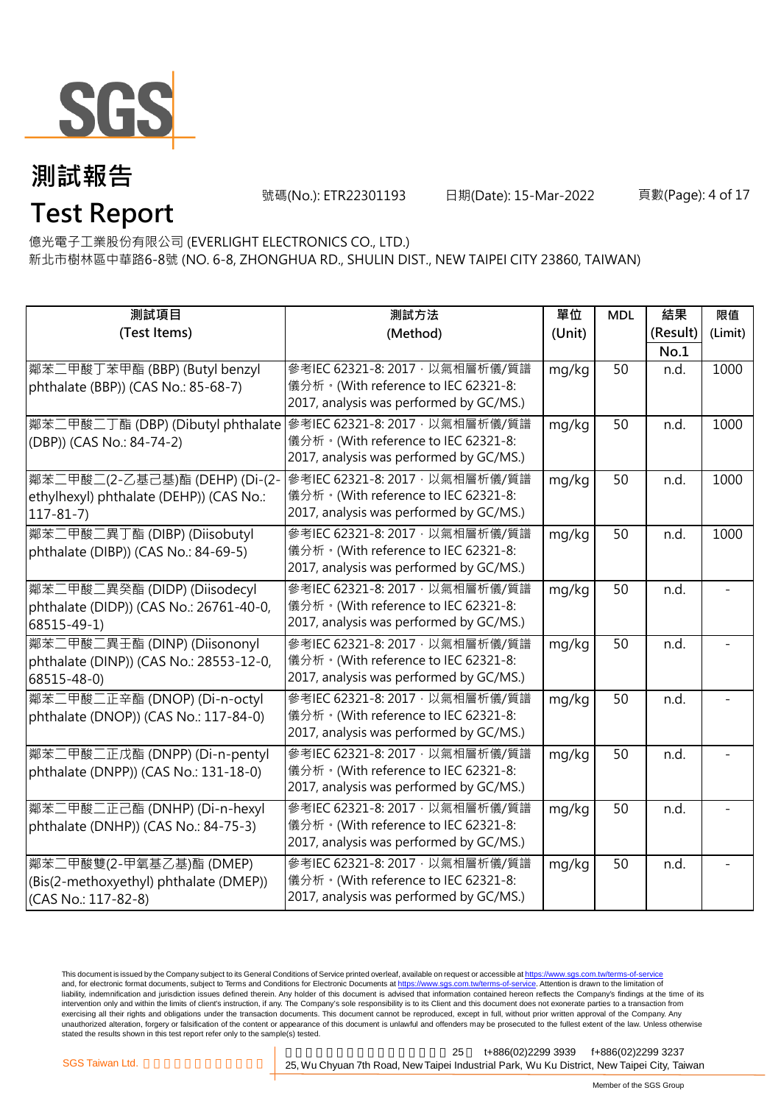

號碼(No.): ETR22301193 日期(Date): 15-Mar-2022

#### 頁數(Page): 4 of 17

### **Test Report** 億光電子工業股份有限公司 (EVERLIGHT ELECTRONICS CO., LTD.)

新北市樹林區中華路6-8號 (NO. 6-8, ZHONGHUA RD., SHULIN DIST., NEW TAIPEI CITY 23860, TAIWAN)

| 測試項目                                                             | 測試方法                                    | 單位     | <b>MDL</b> | 結果       | 限值      |
|------------------------------------------------------------------|-----------------------------------------|--------|------------|----------|---------|
| (Test Items)                                                     | (Method)                                | (Unit) |            | (Result) | (Limit) |
|                                                                  |                                         |        |            | No.1     |         |
| 鄰苯二甲酸丁苯甲酯 (BBP) (Butyl benzyl                                    | 參考IEC 62321-8: 2017, 以氣相層析儀/質譜          | mg/kg  | 50         | n.d.     | 1000    |
| phthalate (BBP)) (CAS No.: 85-68-7)                              | 儀分析。(With reference to IEC 62321-8:     |        |            |          |         |
|                                                                  | 2017, analysis was performed by GC/MS.) |        |            |          |         |
| 鄰苯二甲酸二丁酯 (DBP) (Dibutyl phthalate 参考IEC 62321-8: 2017, 以氣相層析儀/質譜 |                                         | mg/kg  | 50         | n.d.     | 1000    |
| (DBP)) (CAS No.: 84-74-2)                                        | 儀分析。(With reference to IEC 62321-8:     |        |            |          |         |
|                                                                  | 2017, analysis was performed by GC/MS.) |        |            |          |         |
| 鄰苯二甲酸二(2-乙基己基)酯 (DEHP) (Di-(2-                                   | 參考IEC 62321-8: 2017 · 以氣相層析儀/質譜         | mg/kg  | 50         | n.d.     | 1000    |
| ethylhexyl) phthalate (DEHP)) (CAS No.:                          | 儀分析。(With reference to IEC 62321-8:     |        |            |          |         |
| $117 - 81 - 7$                                                   | 2017, analysis was performed by GC/MS.) |        |            |          |         |
| 鄰苯二甲酸二異丁酯 (DIBP) (Diisobutyl                                     | 參考IEC 62321-8: 2017, 以氣相層析儀/質譜          | mg/kg  | 50         | n.d.     | 1000    |
| phthalate (DIBP)) (CAS No.: 84-69-5)                             | 儀分析。(With reference to IEC 62321-8:     |        |            |          |         |
|                                                                  | 2017, analysis was performed by GC/MS.) |        |            |          |         |
| 鄰苯二甲酸二異癸酯 (DIDP) (Diisodecyl                                     | 參考IEC 62321-8: 2017, 以氣相層析儀/質譜          | mg/kg  | 50         | n.d.     |         |
| phthalate (DIDP)) (CAS No.: 26761-40-0,                          | 儀分析。(With reference to IEC 62321-8:     |        |            |          |         |
| 68515-49-1)                                                      | 2017, analysis was performed by GC/MS.) |        |            |          |         |
| 鄰苯二甲酸二異壬酯 (DINP) (Diisononyl                                     | 參考IEC 62321-8: 2017, 以氣相層析儀/質譜          | mg/kg  | 50         | n.d.     |         |
| phthalate (DINP)) (CAS No.: 28553-12-0,                          | 儀分析。(With reference to IEC 62321-8:     |        |            |          |         |
| 68515-48-0)                                                      | 2017, analysis was performed by GC/MS.) |        |            |          |         |
| 鄰苯二甲酸二正辛酯 (DNOP) (Di-n-octyl                                     | 參考IEC 62321-8: 2017, 以氣相層析儀/質譜          | mg/kg  | 50         | n.d.     |         |
| phthalate (DNOP)) (CAS No.: 117-84-0)                            | 儀分析。(With reference to IEC 62321-8:     |        |            |          |         |
|                                                                  | 2017, analysis was performed by GC/MS.) |        |            |          |         |
| 鄰苯二甲酸二正戊酯 (DNPP) (Di-n-pentyl                                    | 參考IEC 62321-8: 2017, 以氣相層析儀/質譜          | mg/kg  | 50         | n.d.     |         |
| phthalate (DNPP)) (CAS No.: 131-18-0)                            | 儀分析。(With reference to IEC 62321-8:     |        |            |          |         |
|                                                                  | 2017, analysis was performed by GC/MS.) |        |            |          |         |
| 鄰苯二甲酸二正己酯 (DNHP) (Di-n-hexyl                                     | 參考IEC 62321-8: 2017, 以氣相層析儀/質譜          | mg/kg  | 50         | n.d.     |         |
| phthalate (DNHP)) (CAS No.: 84-75-3)                             | 儀分析。(With reference to IEC 62321-8:     |        |            |          |         |
|                                                                  | 2017, analysis was performed by GC/MS.) |        |            |          |         |
| <b>鄰苯二甲酸雙(2-甲氧基乙基)酯 (DMEP)</b>                                   | 參考IEC 62321-8: 2017, 以氣相層析儀/質譜          | mg/kg  | 50         | n.d.     |         |
| (Bis(2-methoxyethyl) phthalate (DMEP))                           | 儀分析。(With reference to IEC 62321-8:     |        |            |          |         |
| (CAS No.: 117-82-8)                                              | 2017, analysis was performed by GC/MS.) |        |            |          |         |

This document is issued by the Company subject to its General Conditions of Service printed overleaf, available on request or accessible at <u>https://www.sgs.com.tw/terms-of-service</u><br>and, for electronic format documents, su liability, indemnification and jurisdiction issues defined therein. Any holder of this document is advised that information contained hereon reflects the Company's findings at the time of its intervention only and within the limits of client's instruction, if any. The Company's sole responsibility is to its Client and this document does not exonerate parties to a transaction from exercising all their rights and obligations under the transaction documents. This document cannot be reproduced, except in full, without prior written approval of the Company. Any<br>unauthorized alteration, forgery or falsif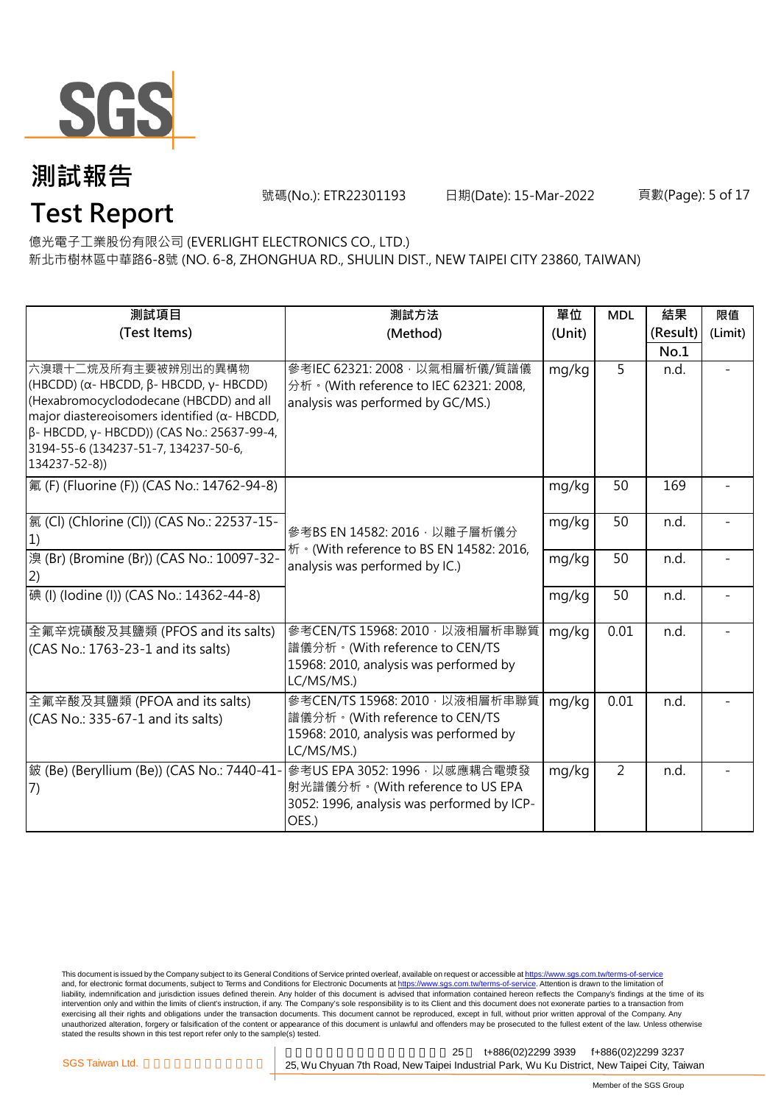

**Test Report**

號碼(No.): ETR22301193 日期(Date): 15-Mar-2022

#### 頁數(Page): 5 of 17

億光電子工業股份有限公司 (EVERLIGHT ELECTRONICS CO., LTD.)

新北市樹林區中華路6-8號 (NO. 6-8, ZHONGHUA RD., SHULIN DIST., NEW TAIPEI CITY 23860, TAIWAN)

| 測試項目                                                                                                                                                                                                                                                                                             | 測試方法                                                                                                                     | 單位     | <b>MDL</b>     | 結果       | 限值      |
|--------------------------------------------------------------------------------------------------------------------------------------------------------------------------------------------------------------------------------------------------------------------------------------------------|--------------------------------------------------------------------------------------------------------------------------|--------|----------------|----------|---------|
| (Test Items)                                                                                                                                                                                                                                                                                     | (Method)                                                                                                                 | (Unit) |                | (Result) | (Limit) |
|                                                                                                                                                                                                                                                                                                  |                                                                                                                          |        |                | No.1     |         |
| 六溴環十二烷及所有主要被辨別出的異構物<br>(HBCDD) ( $\alpha$ - HBCDD, $\beta$ - HBCDD, $\gamma$ - HBCDD)<br>(Hexabromocyclododecane (HBCDD) and all<br>major diastereoisomers identified ( $\alpha$ - HBCDD,<br>β- HBCDD, γ- HBCDD)) (CAS No.: 25637-99-4,<br>3194-55-6 (134237-51-7, 134237-50-6,<br>134237-52-8)) | 參考IEC 62321: 2008 · 以氣相層析儀/質譜儀<br>分析 · (With reference to IEC 62321: 2008,<br>analysis was performed by GC/MS.)          | mg/kg  | 5              | n.d.     |         |
| 氟 (F) (Fluorine (F)) (CAS No.: 14762-94-8)                                                                                                                                                                                                                                                       |                                                                                                                          | mg/kg  | 50             | 169      |         |
| [氯 (Cl) (Chlorine (Cl)) (CAS No.: 22537-15-<br>1)                                                                                                                                                                                                                                                | 參考BS EN 14582: 2016, 以離子層析儀分<br>析 · (With reference to BS EN 14582: 2016,                                                | mg/kg  | 50             | n.d.     |         |
| 溴 (Br) (Bromine (Br)) (CAS No.: 10097-32-                                                                                                                                                                                                                                                        | analysis was performed by IC.)                                                                                           | mg/kg  | 50             | n.d.     |         |
| 碘 (I) (lodine (I)) (CAS No.: 14362-44-8)                                                                                                                                                                                                                                                         |                                                                                                                          | mg/kg  | 50             | n.d.     |         |
| 全氟辛烷磺酸及其鹽類 (PFOS and its salts)<br>(CAS No.: 1763-23-1 and its salts)                                                                                                                                                                                                                            | 參考CEN/TS 15968: 2010, 以液相層析串聯質<br>譜儀分析。(With reference to CEN/TS<br>15968: 2010, analysis was performed by<br>LC/MS/MS.) | mg/kg  | 0.01           | n.d.     |         |
| 全氟辛酸及其鹽類 (PFOA and its salts)<br>(CAS No.: 335-67-1 and its salts)                                                                                                                                                                                                                               | 參考CEN/TS 15968: 2010, 以液相層析串聯質<br>譜儀分析。(With reference to CEN/TS<br>15968: 2010, analysis was performed by<br>LC/MS/MS.) | mg/kg  | 0.01           | n.d.     |         |
| 皴 (Be) (Beryllium (Be)) (CAS No.: 7440-41-<br>(7)                                                                                                                                                                                                                                                | 參考US EPA 3052: 1996, 以感應耦合電漿發<br>射光譜儀分析。(With reference to US EPA<br>3052: 1996, analysis was performed by ICP-<br>OES.) | mg/kg  | $\overline{2}$ | n.d.     |         |

This document is issued by the Company subject to its General Conditions of Service printed overleaf, available on request or accessible at <u>https://www.sgs.com.tw/terms-of-service</u><br>and, for electronic format documents, su liability, indemnification and jurisdiction issues defined therein. Any holder of this document is advised that information contained hereon reflects the Company's findings at the time of its intervention only and within the limits of client's instruction, if any. The Company's sole responsibility is to its Client and this document does not exonerate parties to a transaction from exercising all their rights and obligations under the transaction documents. This document cannot be reproduced, except in full, without prior written approval of the Company. Any<br>unauthorized alteration, forgery or falsif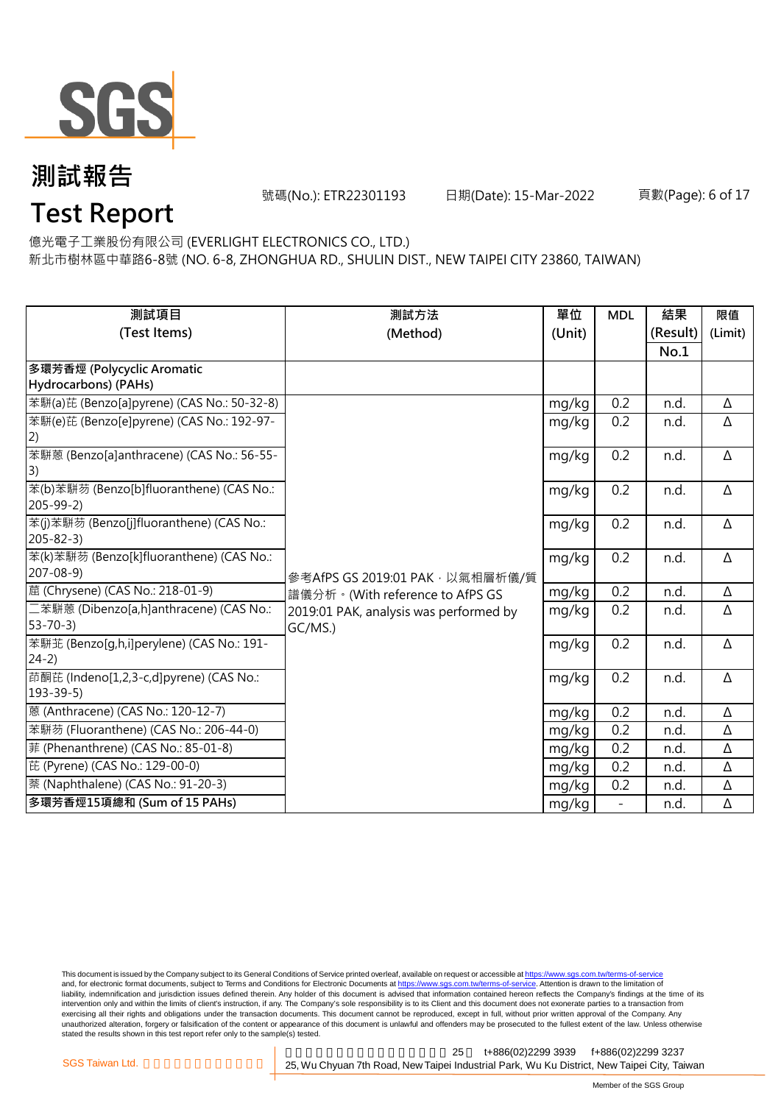

號碼(No.): ETR22301193 日期(Date): 15-Mar-2022

頁數(Page): 6 of 17

## **Test Report**

億光電子工業股份有限公司 (EVERLIGHT ELECTRONICS CO., LTD.)

新北市樹林區中華路6-8號 (NO. 6-8, ZHONGHUA RD., SHULIN DIST., NEW TAIPEI CITY 23860, TAIWAN)

| 測試項目                                                      | 測試方法                                   | 單位     | <b>MDL</b>               | 結果       | 限值      |
|-----------------------------------------------------------|----------------------------------------|--------|--------------------------|----------|---------|
| (Test Items)                                              | (Method)                               | (Unit) |                          | (Result) | (Limit) |
|                                                           |                                        |        |                          | No.1     |         |
| 多環芳香烴 (Polycyclic Aromatic                                |                                        |        |                          |          |         |
| Hydrocarbons) (PAHs)                                      |                                        |        |                          |          |         |
| 苯駢(a)芘 (Benzo[a]pyrene) (CAS No.: 50-32-8)                |                                        | mg/kg  | 0.2                      | n.d.     | Δ       |
| 苯駢(e)芘 (Benzo[e]pyrene) (CAS No.: 192-97-                 |                                        | mg/kg  | 0.2                      | n.d.     | Δ       |
| 2)                                                        |                                        |        |                          |          |         |
| 苯駢蒽 (Benzo[a]anthracene) (CAS No.: 56-55-                 |                                        | mg/kg  | 0.2                      | n.d.     | Δ       |
| 3)                                                        |                                        |        |                          |          |         |
| 苯(b)苯駢芴 (Benzo[b]fluoranthene) (CAS No.:                  |                                        | mg/kg  | 0.2                      | n.d.     | Δ       |
| $205 - 99 - 2$                                            |                                        |        |                          |          |         |
| 苯(j)苯駢芴 (Benzo[j]fluoranthene) (CAS No.:                  |                                        | mg/kg  | 0.2                      | n.d.     | Δ       |
| $205 - 82 - 3$                                            |                                        |        |                          |          |         |
| 苯(k)苯駢芴 (Benzo[k]fluoranthene) (CAS No.:                  |                                        | mg/kg  | 0.2                      | n.d.     | Δ       |
| $207 - 08 - 9$                                            | 參考AfPS GS 2019:01 PAK, 以氣相層析儀/質        |        |                          |          |         |
| 蔰 (Chrysene) (CAS No.: 218-01-9)                          | 譜儀分析。(With reference to AfPS GS        | mg/kg  | 0.2                      | n.d.     | Δ       |
| 二苯駢蒽 (Dibenzo[a,h]anthracene) (CAS No.:                   | 2019:01 PAK, analysis was performed by | mg/kg  | 0.2                      | n.d.     | Δ       |
| $53 - 70 - 3$                                             | GC/MS.)                                |        |                          |          |         |
| 苯駢苝 (Benzo[g,h,i]perylene) (CAS No.: 191-<br>$24-2)$      |                                        | mg/kg  | 0.2                      | n.d.     | Δ       |
|                                                           |                                        |        |                          |          |         |
| 茚酮芘 (Indeno[1,2,3-c,d]pyrene) (CAS No.:<br>$193 - 39 - 5$ |                                        | mg/kg  | 0.2                      | n.d.     | Δ       |
| 蒽 (Anthracene) (CAS No.: 120-12-7)                        |                                        |        | 0.2                      |          |         |
|                                                           |                                        | mg/kg  |                          | n.d.     | Δ       |
| 苯駢芴 (Fluoranthene) (CAS No.: 206-44-0)                    |                                        | mg/kg  | 0.2                      | n.d.     | Δ       |
| 菲 (Phenanthrene) (CAS No.: 85-01-8)                       |                                        | mg/kg  | 0.2                      | n.d.     | Δ       |
| 芘 (Pyrene) (CAS No.: 129-00-0)                            |                                        | mg/kg  | 0.2                      | n.d.     | Δ       |
| 萘 (Naphthalene) (CAS No.: 91-20-3)                        |                                        | mg/kg  | 0.2                      | n.d.     | Δ       |
| 多環芳香烴15項總和 (Sum of 15 PAHs)                               |                                        | mg/kg  | $\overline{\phantom{0}}$ | n.d.     | Δ       |

This document is issued by the Company subject to its General Conditions of Service printed overleaf, available on request or accessible at <u>https://www.sgs.com.tw/terms-of-service</u><br>and, for electronic format documents, su liability, indemnification and jurisdiction issues defined therein. Any holder of this document is advised that information contained hereon reflects the Company's findings at the time of its intervention only and within the limits of client's instruction, if any. The Company's sole responsibility is to its Client and this document does not exonerate parties to a transaction from exercising all their rights and obligations under the transaction documents. This document cannot be reproduced, except in full, without prior written approval of the Company. Any<br>unauthorized alteration, forgery or falsif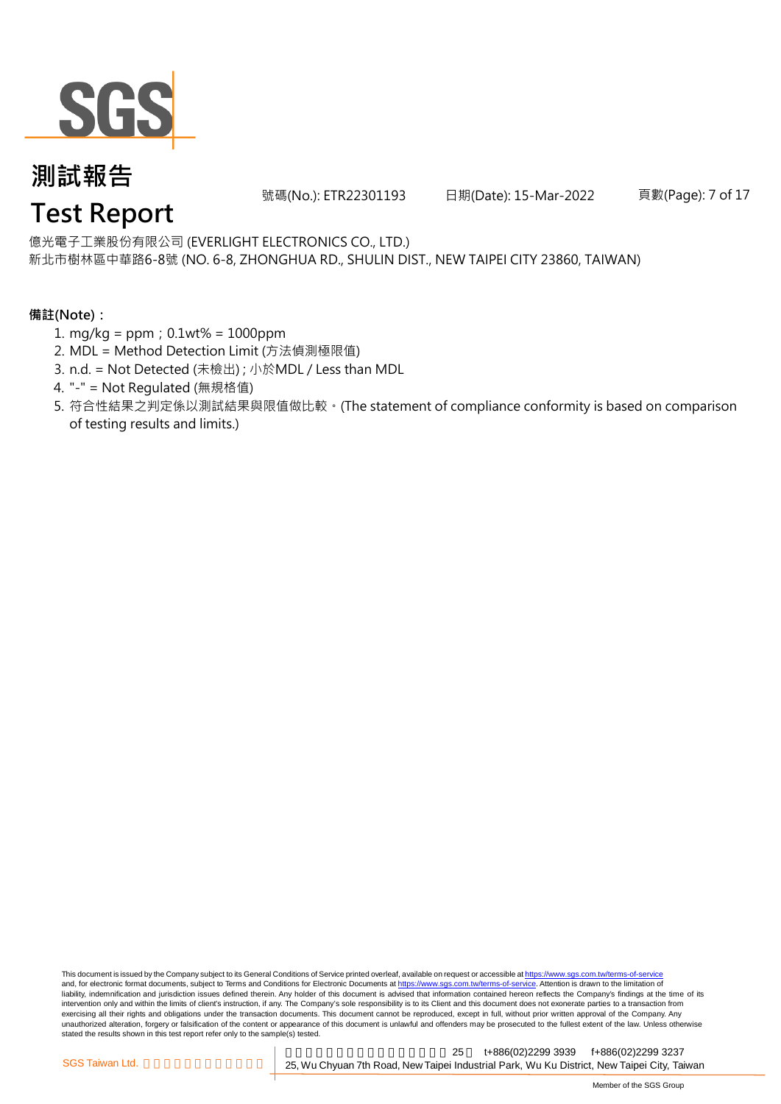

號碼(No.): ETR22301193 日期(Date): 15-Mar-2022

頁數(Page): 7 of 17

億光電子工業股份有限公司 (EVERLIGHT ELECTRONICS CO., LTD.)

新北市樹林區中華路6-8號 (NO. 6-8, ZHONGHUA RD., SHULIN DIST., NEW TAIPEI CITY 23860, TAIWAN)

#### **備註(Note):**

- 1. mg/kg = ppm;0.1wt% = 1000ppm
- 2. MDL = Method Detection Limit (方法偵測極限值)
- 3. n.d. = Not Detected (未檢出) ; 小於MDL / Less than MDL
- 4. "-" = Not Regulated (無規格值)
- 5. 符合性結果之判定係以測試結果與限值做比較。(The statement of compliance conformity is based on comparison of testing results and limits.)

This document is issued by the Company subject to its General Conditions of Service printed overleaf, available on request or accessible at https://www.sgs.com.tw/terms-of-service and, for electronic format documents, subject to Terms and Conditions for Electronic Documents at https://www.sgs.com.tw/terms-of-service. Attention is drawn to the limitation of liability, indemnification and jurisdiction issues defined therein. Any holder of this document is advised that information contained hereon reflects the Company's findings at the time of its intervention only and within the limits of client's instruction, if any. The Company's sole responsibility is to its Client and this document does not exonerate parties to a transaction from exercising all their rights and obligations under the transaction documents. This document cannot be reproduced, except in full, without prior written approval of the Company. Any<br>unauthorized alteration, forgery or falsif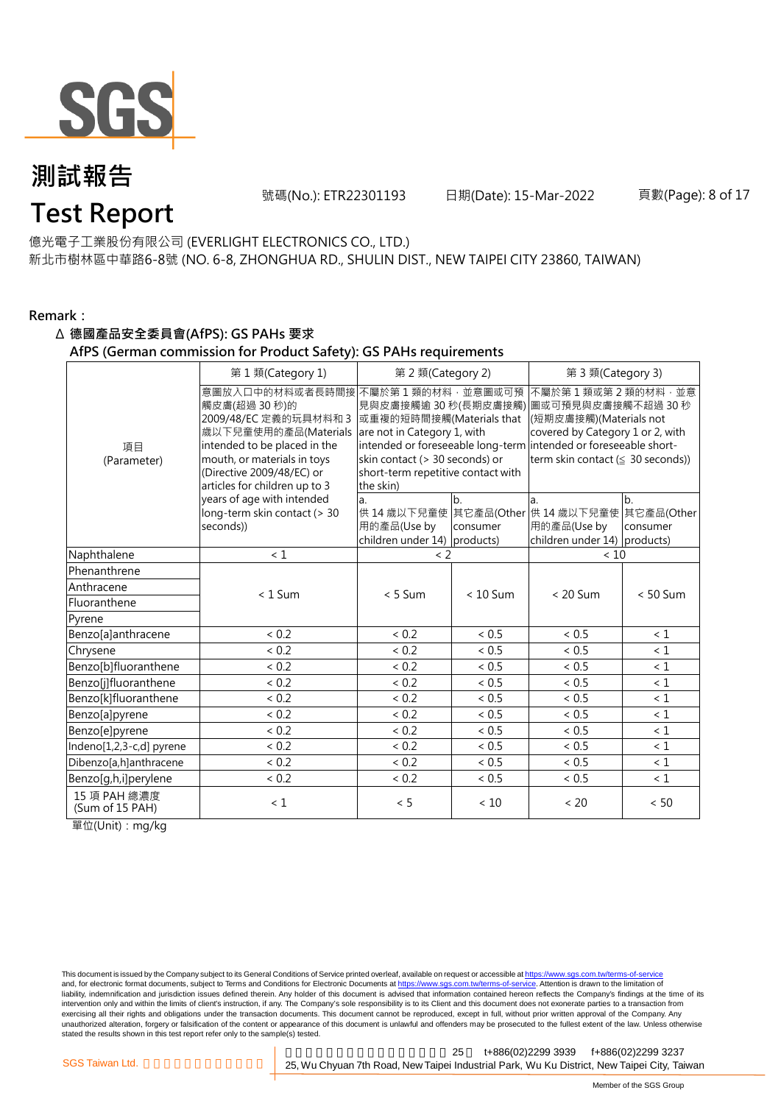

號碼(No.): ETR22301193 日期(Date): 15-Mar-2022

#### 頁數(Page): 8 of 17

#### 億光電子工業股份有限公司 (EVERLIGHT ELECTRONICS CO., LTD.)

新北市樹林區中華路6-8號 (NO. 6-8, ZHONGHUA RD., SHULIN DIST., NEW TAIPEI CITY 23860, TAIWAN)

#### **Remark:**

#### Δ **德國產品安全委員會(AfPS): GS PAHs 要求**

#### **AfPS (German commission for Product Safety): GS PAHs requirements**

|                                 | 第1類(Category 1)                                                                                                                                                                                               | 第 2 類(Category 2)                                                                                                                                                                        |                | 第 3 類(Category 3)                                                                                                                                                                                                   |                |  |
|---------------------------------|---------------------------------------------------------------------------------------------------------------------------------------------------------------------------------------------------------------|------------------------------------------------------------------------------------------------------------------------------------------------------------------------------------------|----------------|---------------------------------------------------------------------------------------------------------------------------------------------------------------------------------------------------------------------|----------------|--|
| 項目<br>(Parameter)               | 意圖放入口中的材料或者長時間接<br>觸皮膚(超過 30秒)的<br>2009/48/EC 定義的玩具材料和 3<br>歲以下兒童使用的產品(Materials<br>intended to be placed in the<br>mouth, or materials in toys<br>(Directive 2009/48/EC) or<br>articles for children up to 3 | 不屬於第1類的材料,並意圖或可預<br>見與皮膚接觸逾 30 秒(長期皮膚接觸)<br>或重複的短時間接觸(Materials that<br>are not in Category 1, with<br>skin contact (> 30 seconds) or<br>short-term repetitive contact with<br>the skin) |                | 不屬於第1類或第2類的材料·並意<br>圖或可預見與皮膚接觸不超過 30 秒<br>(短期皮膚接觸)(Materials not<br>covered by Category 1 or 2, with<br>intended or foreseeable long-term intended or foreseeable short-<br>term skin contact ( $\leq$ 30 seconds)) |                |  |
|                                 | years of age with intended<br>long-term skin contact (> 30<br>seconds))                                                                                                                                       | a.<br>用的產品(Use by<br>children under 14) products)                                                                                                                                        | b.<br>consumer | a.<br>供 14 歳以下兒童使 其它產品(Other 供 14 歳以下兒童使 其它產品(Other<br>用的產品(Use by<br>children under 14) products)                                                                                                                  | b.<br>consumer |  |
| Naphthalene                     | < 1                                                                                                                                                                                                           | $\langle$ 2                                                                                                                                                                              |                | < 10                                                                                                                                                                                                                |                |  |
| Phenanthrene                    |                                                                                                                                                                                                               |                                                                                                                                                                                          |                |                                                                                                                                                                                                                     |                |  |
| Anthracene                      | $< 1$ Sum                                                                                                                                                                                                     | $< 5$ Sum                                                                                                                                                                                | $< 10$ Sum     | $< 20$ Sum                                                                                                                                                                                                          | $< 50$ Sum     |  |
| Fluoranthene                    |                                                                                                                                                                                                               |                                                                                                                                                                                          |                |                                                                                                                                                                                                                     |                |  |
| Pyrene                          |                                                                                                                                                                                                               |                                                                                                                                                                                          |                |                                                                                                                                                                                                                     |                |  |
| Benzo[a]anthracene              | < 0.2                                                                                                                                                                                                         | < 0.2                                                                                                                                                                                    | < 0.5          | < 0.5                                                                                                                                                                                                               | < 1            |  |
| Chrysene                        | < 0.2                                                                                                                                                                                                         | < 0.2                                                                                                                                                                                    | < 0.5          | < 0.5                                                                                                                                                                                                               | $\leq 1$       |  |
| Benzo[b]fluoranthene            | < 0.2                                                                                                                                                                                                         | ${}< 0.2$                                                                                                                                                                                | < 0.5          | ${}< 0.5$                                                                                                                                                                                                           | $\leq 1$       |  |
| Benzo[j]fluoranthene            | < 0.2                                                                                                                                                                                                         | ${}< 0.2$                                                                                                                                                                                | ${}< 0.5$      | < 0.5                                                                                                                                                                                                               | $\leq 1$       |  |
| Benzo[k]fluoranthene            | < 0.2                                                                                                                                                                                                         | < 0.2                                                                                                                                                                                    | < 0.5          | < 0.5                                                                                                                                                                                                               | $\leq 1$       |  |
| Benzo[a]pyrene                  | < 0.2                                                                                                                                                                                                         | < 0.2                                                                                                                                                                                    | < 0.5          | ~< 0.5                                                                                                                                                                                                              | $\leq 1$       |  |
| Benzo[e]pyrene                  | < 0.2                                                                                                                                                                                                         | < 0.2                                                                                                                                                                                    | < 0.5          | < 0.5                                                                                                                                                                                                               | $\leq 1$       |  |
| Indeno[1,2,3-c,d] pyrene        | < 0.2                                                                                                                                                                                                         | < 0.2                                                                                                                                                                                    | < 0.5          | < 0.5                                                                                                                                                                                                               | $\leq 1$       |  |
| Dibenzo[a,h]anthracene          | < 0.2                                                                                                                                                                                                         | < 0.2                                                                                                                                                                                    | < 0.5          | < 0.5                                                                                                                                                                                                               | $\leq 1$       |  |
| Benzo[g,h,i]perylene            | ${}< 0.2$                                                                                                                                                                                                     | < 0.2                                                                                                                                                                                    | < 0.5          | ${}< 0.5$                                                                                                                                                                                                           | $\leq 1$       |  |
| 15 項 PAH 總濃度<br>(Sum of 15 PAH) | < 1                                                                                                                                                                                                           | < 5                                                                                                                                                                                      | < 10           | < 20                                                                                                                                                                                                                | < 50           |  |

單位(Unit):mg/kg

This document is issued by the Company subject to its General Conditions of Service printed overleaf, available on request or accessible at <u>https://www.sgs.com.tw/terms-of-service</u><br>and, for electronic format documents, su liability, indemnification and jurisdiction issues defined therein. Any holder of this document is advised that information contained hereon reflects the Company's findings at the time of its intervention only and within the limits of client's instruction, if any. The Company's sole responsibility is to its Client and this document does not exonerate parties to a transaction from exercising all their rights and obligations under the transaction documents. This document cannot be reproduced, except in full, without prior written approval of the Company. Any<br>unauthorized alteration, forgery or falsif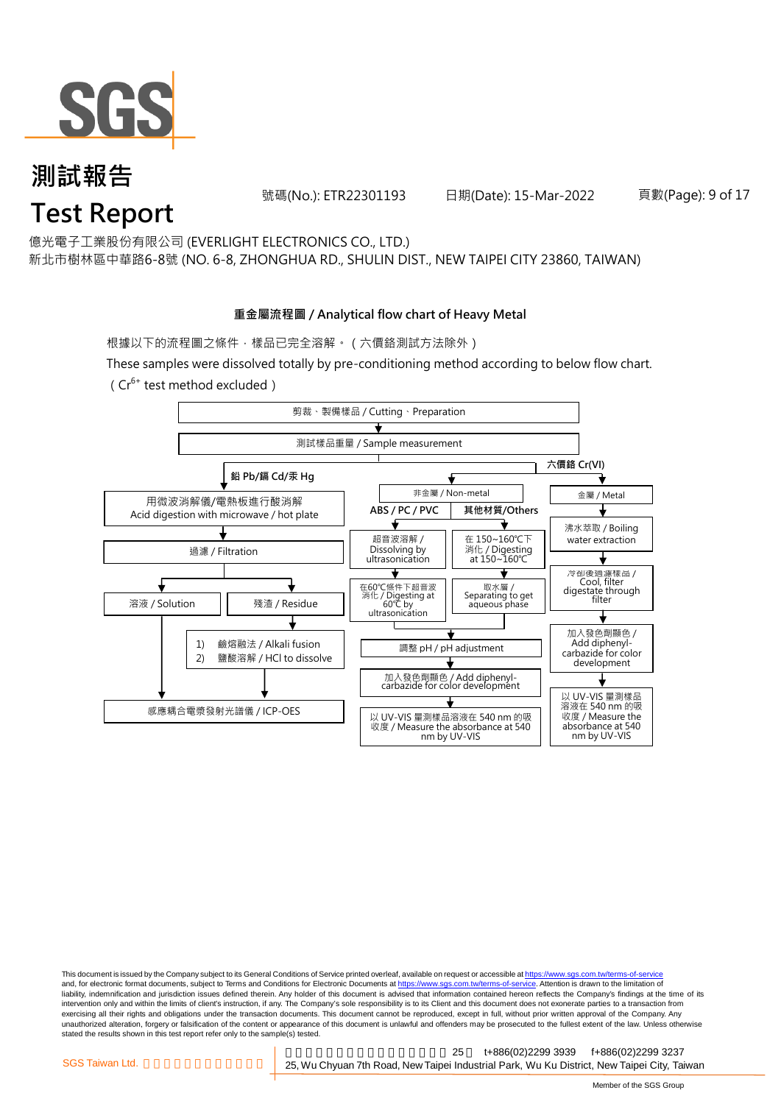

號碼(No.): ETR22301193 日期(Date): 15-Mar-2022

頁數(Page): 9 of 17

億光電子工業股份有限公司 (EVERLIGHT ELECTRONICS CO., LTD.)

新北市樹林區中華路6-8號 (NO. 6-8, ZHONGHUA RD., SHULIN DIST., NEW TAIPEI CITY 23860, TAIWAN)

#### **重金屬流程圖 / Analytical flow chart of Heavy Metal**

根據以下的流程圖之條件,樣品已完全溶解。 (六價鉻測試方法除外)

These samples were dissolved totally by pre-conditioning method according to below flow chart. ( $Cr^{6+}$  test method excluded)



This document is issued by the Company subject to its General Conditions of Service printed overleaf, available on request or accessible at https://www.sgs.com.tw/terms-of-service and, for electronic format documents, subject to Terms and Conditions for Electronic Documents at https://www.sgs.com.tw/terms-of-service. Attention is drawn to the limitation of liability, indemnification and jurisdiction issues defined therein. Any holder of this document is advised that information contained hereon reflects the Company's findings at the time of its intervention only and within the limits of client's instruction, if any. The Company's sole responsibility is to its Client and this document does not exonerate parties to a transaction from exercising all their rights and obligations under the transaction documents. This document cannot be reproduced, except in full, without prior written approval of the Company. Any<br>unauthorized alteration, forgery or falsif stated the results shown in this test report refer only to the sample(s) tested.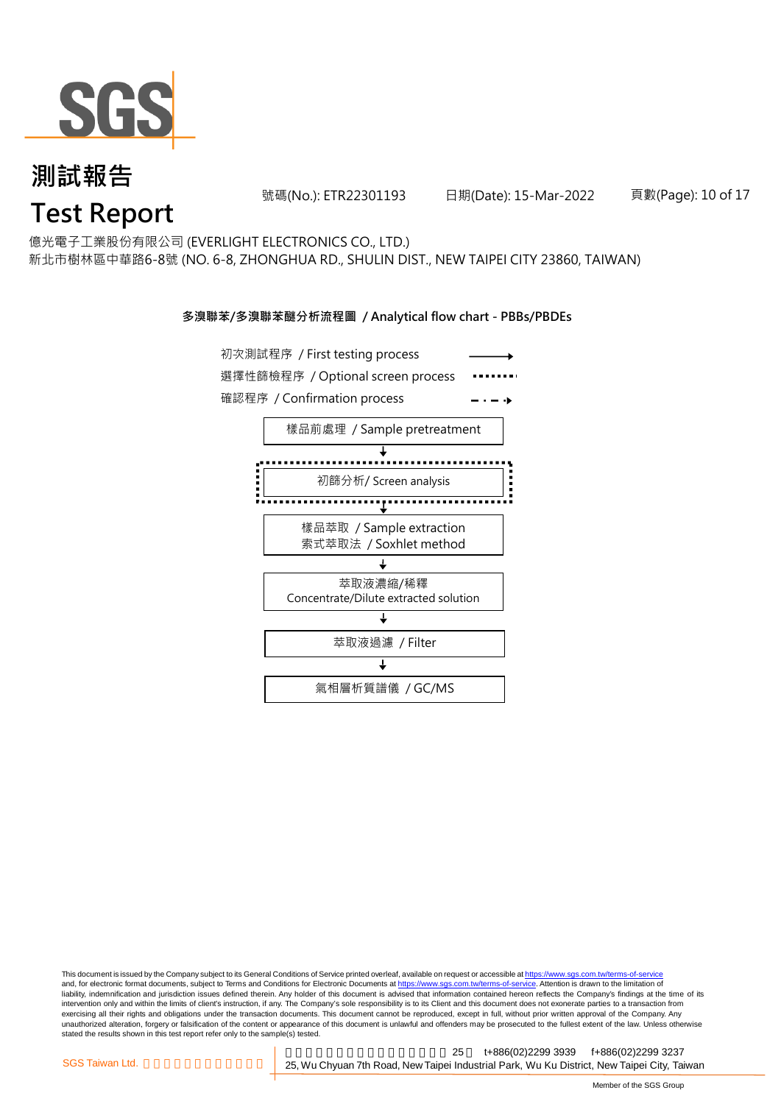

號碼(No.): ETR22301193 日期(Date): 15-Mar-2022

頁數(Page): 10 of 17

億光電子工業股份有限公司 (EVERLIGHT ELECTRONICS CO., LTD.)

新北市樹林區中華路6-8號 (NO. 6-8, ZHONGHUA RD., SHULIN DIST., NEW TAIPEI CITY 23860, TAIWAN)

#### **多溴聯苯/多溴聯苯醚分析流程圖 / Analytical flow chart - PBBs/PBDEs**



This document is issued by the Company subject to its General Conditions of Service printed overleaf, available on request or accessible at https://www.sgs.com.tw/terms-of-service and, for electronic format documents, subject to Terms and Conditions for Electronic Documents at https://www.sgs.com.tw/terms-of-service. Attention is drawn to the limitation of liability, indemnification and jurisdiction issues defined therein. Any holder of this document is advised that information contained hereon reflects the Company's findings at the time of its intervention only and within the limits of client's instruction, if any. The Company's sole responsibility is to its Client and this document does not exonerate parties to a transaction from exercising all their rights and obligations under the transaction documents. This document cannot be reproduced, except in full, without prior written approval of the Company. Any<br>unauthorized alteration, forgery or falsif stated the results shown in this test report refer only to the sample(s) tested.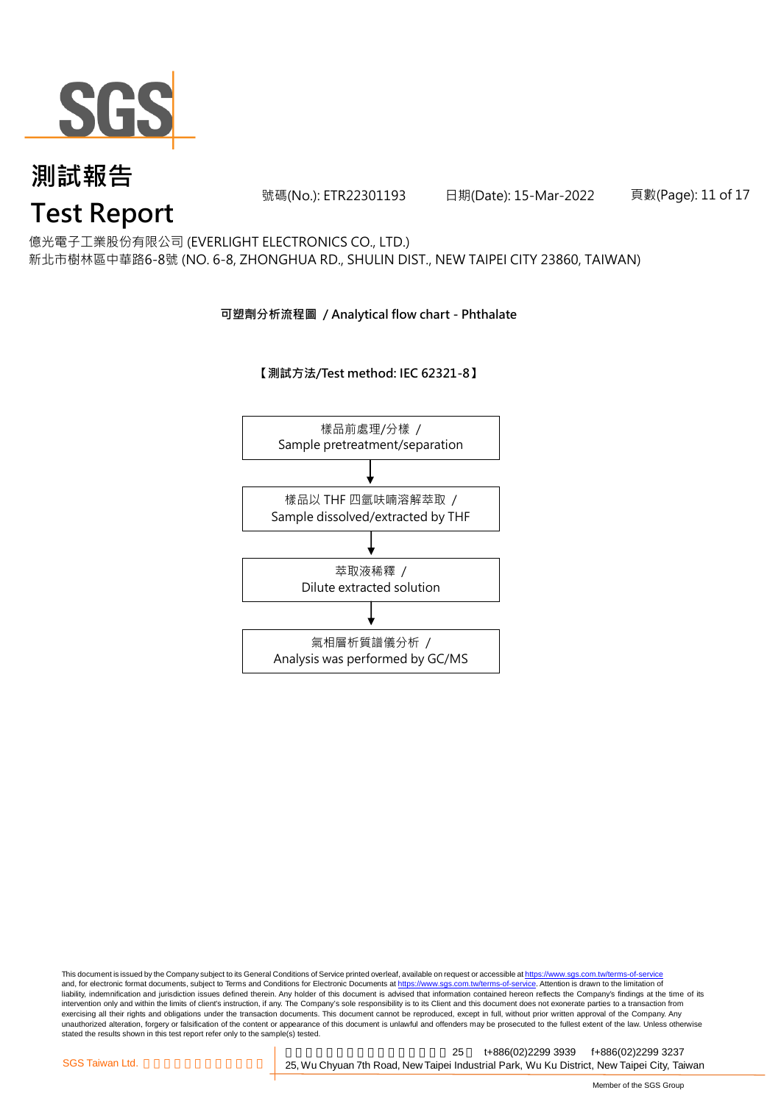

號碼(No.): ETR22301193 日期(Date): 15-Mar-2022

頁數(Page): 11 of 17

億光電子工業股份有限公司 (EVERLIGHT ELECTRONICS CO., LTD.)

新北市樹林區中華路6-8號 (NO. 6-8, ZHONGHUA RD., SHULIN DIST., NEW TAIPEI CITY 23860, TAIWAN)

#### **可塑劑分析流程圖 / Analytical flow chart - Phthalate**

**【測試方法/Test method: IEC 62321-8】**



This document is issued by the Company subject to its General Conditions of Service printed overleaf, available on request or accessible at <u>https://www.sgs.com.tw/terms-of-service</u><br>and, for electronic format documents, su liability, indemnification and jurisdiction issues defined therein. Any holder of this document is advised that information contained hereon reflects the Company's findings at the time of its intervention only and within the limits of client's instruction, if any. The Company's sole responsibility is to its Client and this document does not exonerate parties to a transaction from exercising all their rights and obligations under the transaction documents. This document cannot be reproduced, except in full, without prior written approval of the Company. Any<br>unauthorized alteration, forgery or falsif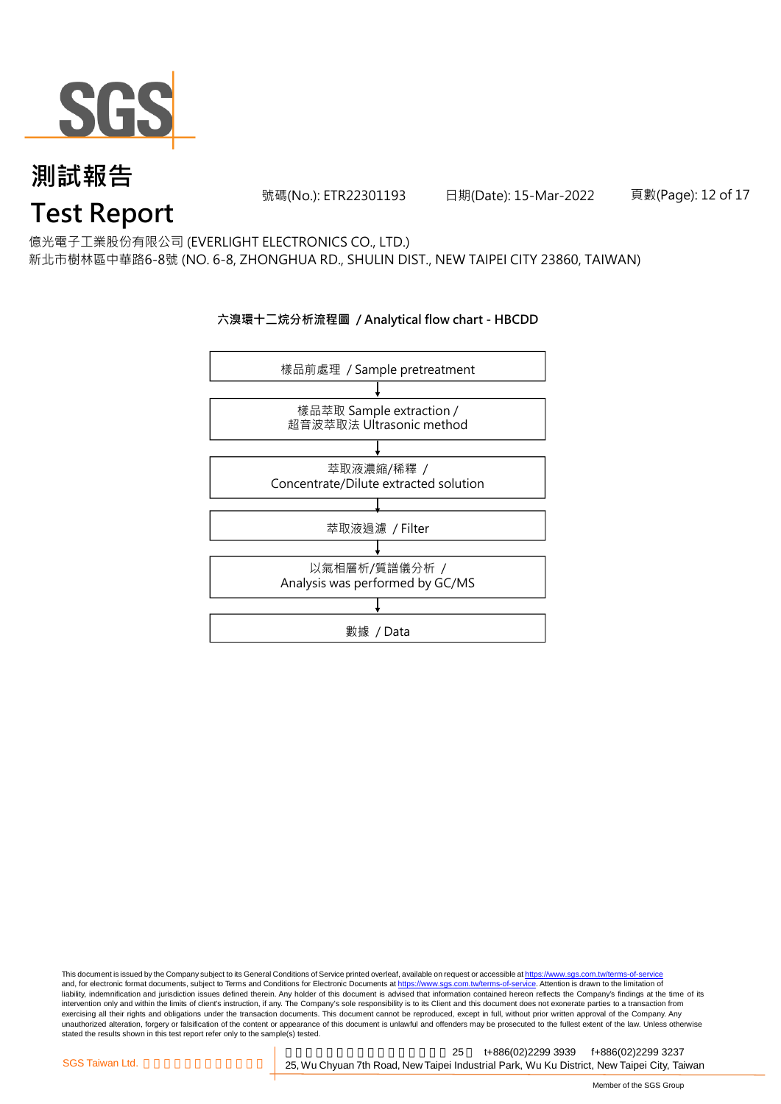

號碼(No.): ETR22301193 日期(Date): 15-Mar-2022

頁數(Page): 12 of 17

億光電子工業股份有限公司 (EVERLIGHT ELECTRONICS CO., LTD.)

新北市樹林區中華路6-8號 (NO. 6-8, ZHONGHUA RD., SHULIN DIST., NEW TAIPEI CITY 23860, TAIWAN)

#### **六溴環十二烷分析流程圖 / Analytical flow chart - HBCDD**



This document is issued by the Company subject to its General Conditions of Service printed overleaf, available on request or accessible at <u>https://www.sgs.com.tw/terms-of-service</u><br>and, for electronic format documents, su liability, indemnification and jurisdiction issues defined therein. Any holder of this document is advised that information contained hereon reflects the Company's findings at the time of its intervention only and within the limits of client's instruction, if any. The Company's sole responsibility is to its Client and this document does not exonerate parties to a transaction from exercising all their rights and obligations under the transaction documents. This document cannot be reproduced, except in full, without prior written approval of the Company. Any<br>unauthorized alteration, forgery or falsif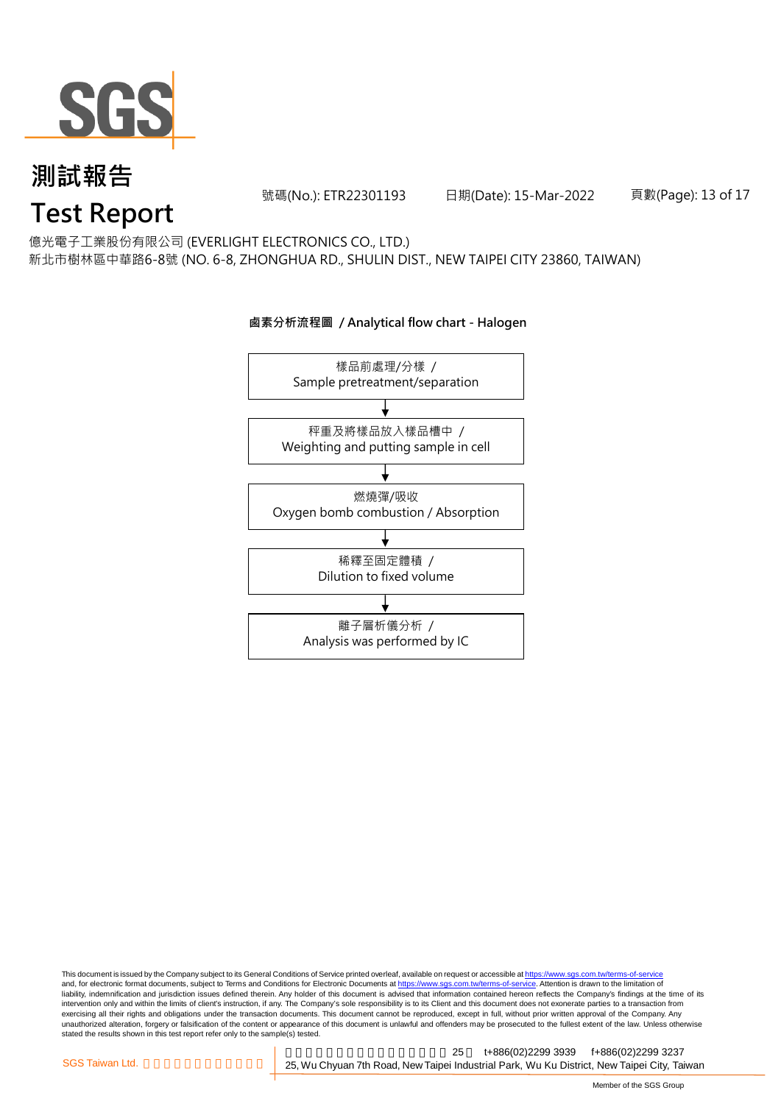

號碼(No.): ETR22301193 日期(Date): 15-Mar-2022

頁數(Page): 13 of 17

億光電子工業股份有限公司 (EVERLIGHT ELECTRONICS CO., LTD.)

新北市樹林區中華路6-8號 (NO. 6-8, ZHONGHUA RD., SHULIN DIST., NEW TAIPEI CITY 23860, TAIWAN)

### 樣品前處理/分樣 / Sample pretreatment/separation 秤重及將樣品放入樣品槽中 / Weighting and putting sample in cell 燃燒彈/吸收 Oxygen bomb combustion / Absorption 離子層析儀分析 / Analysis was performed by IC 稀釋至固定體積 / Dilution to fixed volume

**鹵素分析流程圖 / Analytical flow chart - Halogen**

This document is issued by the Company subject to its General Conditions of Service printed overleaf, available on request or accessible at <u>https://www.sgs.com.tw/terms-of-service</u><br>and, for electronic format documents, su liability, indemnification and jurisdiction issues defined therein. Any holder of this document is advised that information contained hereon reflects the Company's findings at the time of its intervention only and within the limits of client's instruction, if any. The Company's sole responsibility is to its Client and this document does not exonerate parties to a transaction from exercising all their rights and obligations under the transaction documents. This document cannot be reproduced, except in full, without prior written approval of the Company. Any<br>unauthorized alteration, forgery or falsif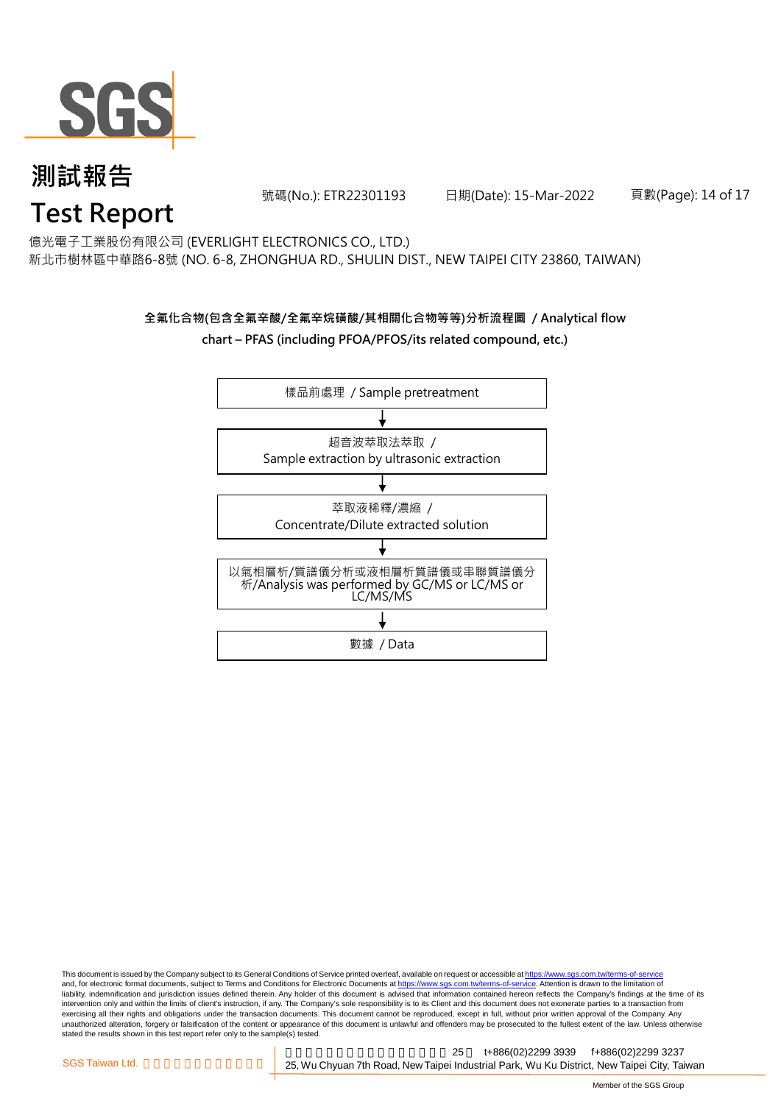

號碼(No.): ETR22301193 日期(Date): 15-Mar-2022

頁數(Page): 14 of 17

億光電子工業股份有限公司 (EVERLIGHT ELECTRONICS CO., LTD.)

新北市樹林區中華路6-8號 (NO. 6-8, ZHONGHUA RD., SHULIN DIST., NEW TAIPEI CITY 23860, TAIWAN)

#### **全氟化合物(包含全氟辛酸/全氟辛烷磺酸/其相關化合物等等)分析流程圖 / Analytical flow chart – PFAS (including PFOA/PFOS/its related compound, etc.)**



This document is issued by the Company subject to its General Conditions of Service printed overleaf, available on request or accessible at https://www.sgs.com.tw/terms-of-service and, for electronic format documents, subject to Terms and Conditions for Electronic Documents at https://www.sgs.com.tw/terms-of-service. Attention is drawn to the limitation of liability, indemnification and jurisdiction issues defined therein. Any holder of this document is advised that information contained hereon reflects the Company's findings at the time of its intervention only and within the limits of client's instruction, if any. The Company's sole responsibility is to its Client and this document does not exonerate parties to a transaction from exercising all their rights and obligations under the transaction documents. This document cannot be reproduced, except in full, without prior written approval of the Company. Any<br>unauthorized alteration, forgery or falsif stated the results shown in this test report refer only to the sample(s) tested.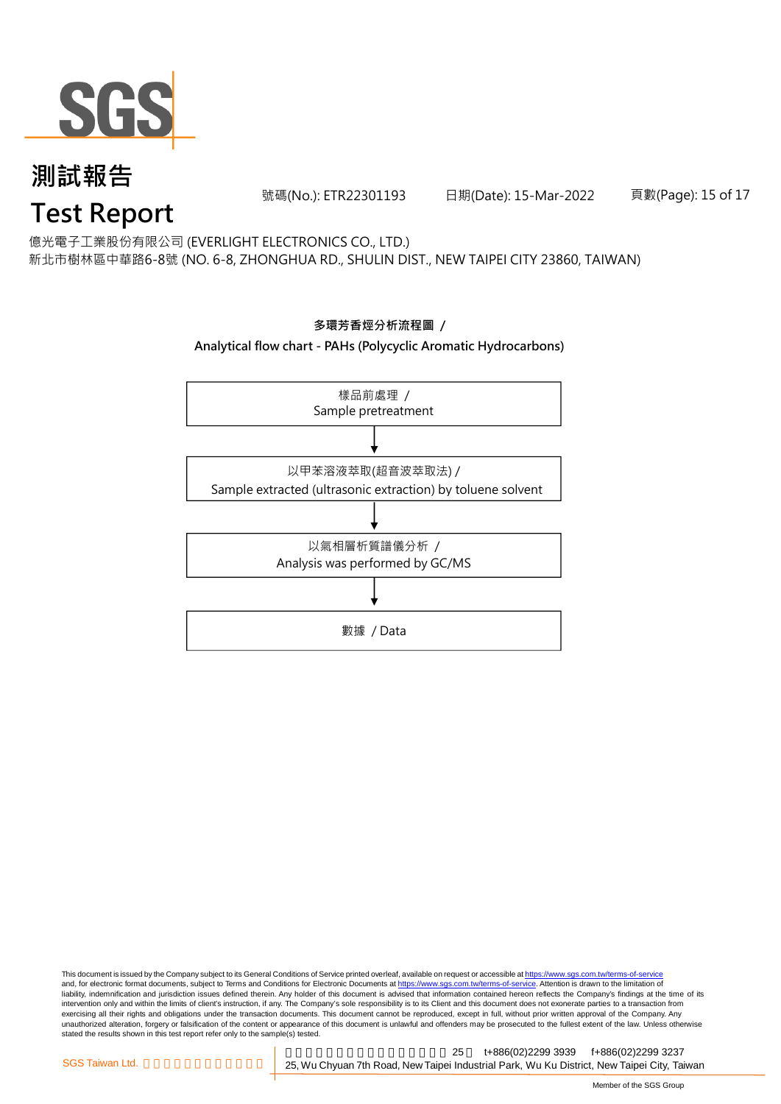

號碼(No.): ETR22301193 日期(Date): 15-Mar-2022

頁數(Page): 15 of 17

億光電子工業股份有限公司 (EVERLIGHT ELECTRONICS CO., LTD.)

新北市樹林區中華路6-8號 (NO. 6-8, ZHONGHUA RD., SHULIN DIST., NEW TAIPEI CITY 23860, TAIWAN)



**多環芳香烴分析流程圖 /** 

This document is issued by the Company subject to its General Conditions of Service printed overleaf, available on request or accessible at <u>https://www.sgs.com.tw/terms-of-service</u><br>and, for electronic format documents, su liability, indemnification and jurisdiction issues defined therein. Any holder of this document is advised that information contained hereon reflects the Company's findings at the time of its intervention only and within the limits of client's instruction, if any. The Company's sole responsibility is to its Client and this document does not exonerate parties to a transaction from exercising all their rights and obligations under the transaction documents. This document cannot be reproduced, except in full, without prior written approval of the Company. Any<br>unauthorized alteration, forgery or falsif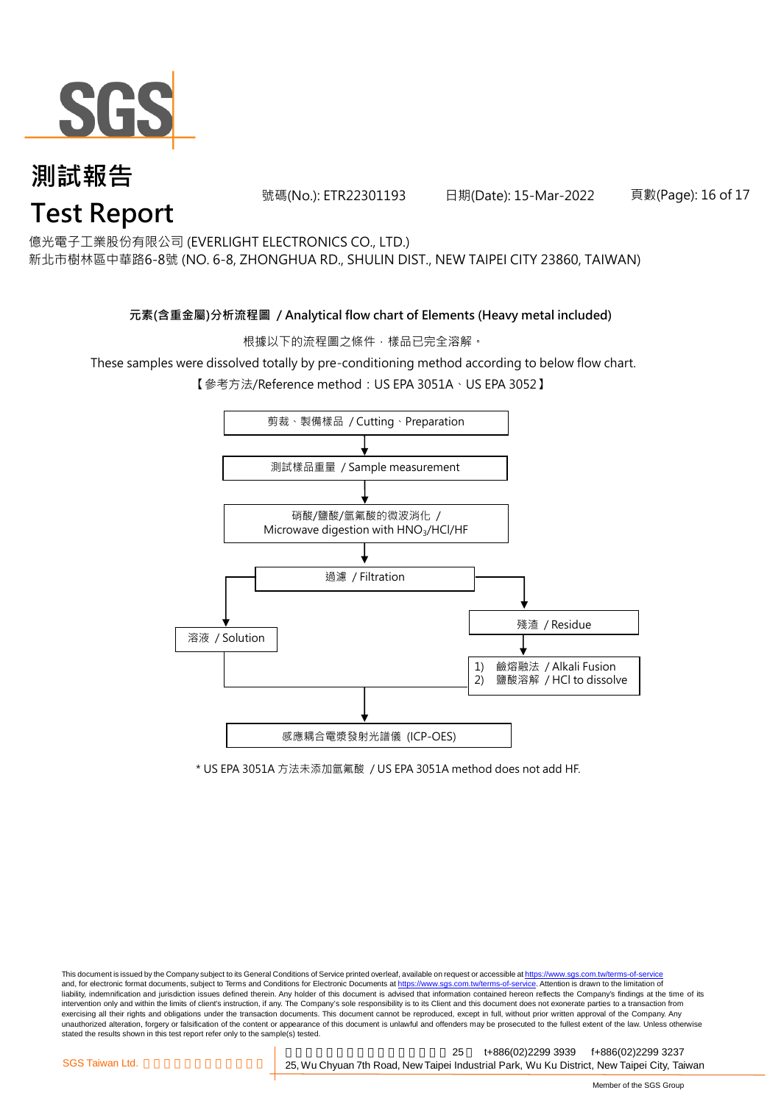

號碼(No.): ETR22301193 日期(Date): 15-Mar-2022

頁數(Page): 16 of 17

億光電子工業股份有限公司 (EVERLIGHT ELECTRONICS CO., LTD.)

新北市樹林區中華路6-8號 (NO. 6-8, ZHONGHUA RD., SHULIN DIST., NEW TAIPEI CITY 23860, TAIWAN)

#### **元素(含重金屬)分析流程圖 / Analytical flow chart of Elements (Heavy metal included)**

根據以下的流程圖之條件,樣品已完全溶解。

These samples were dissolved totally by pre-conditioning method according to below flow chart.

【參考方法/Reference method:US EPA 3051A、US EPA 3052】



\* US EPA 3051A 方法未添加氫氟酸 / US EPA 3051A method does not add HF.

This document is issued by the Company subject to its General Conditions of Service printed overleaf, available on request or accessible at https://www.sgs.com.tw/terms-of-service and, for electronic format documents, subject to Terms and Conditions for Electronic Documents at https://www.sgs.com.tw/terms-of-service. Attention is drawn to the limitation of liability, indemnification and jurisdiction issues defined therein. Any holder of this document is advised that information contained hereon reflects the Company's findings at the time of its intervention only and within the limits of client's instruction, if any. The Company's sole responsibility is to its Client and this document does not exonerate parties to a transaction from exercising all their rights and obligations under the transaction documents. This document cannot be reproduced, except in full, without prior written approval of the Company. Any<br>unauthorized alteration, forgery or falsif stated the results shown in this test report refer only to the sample(s) tested.